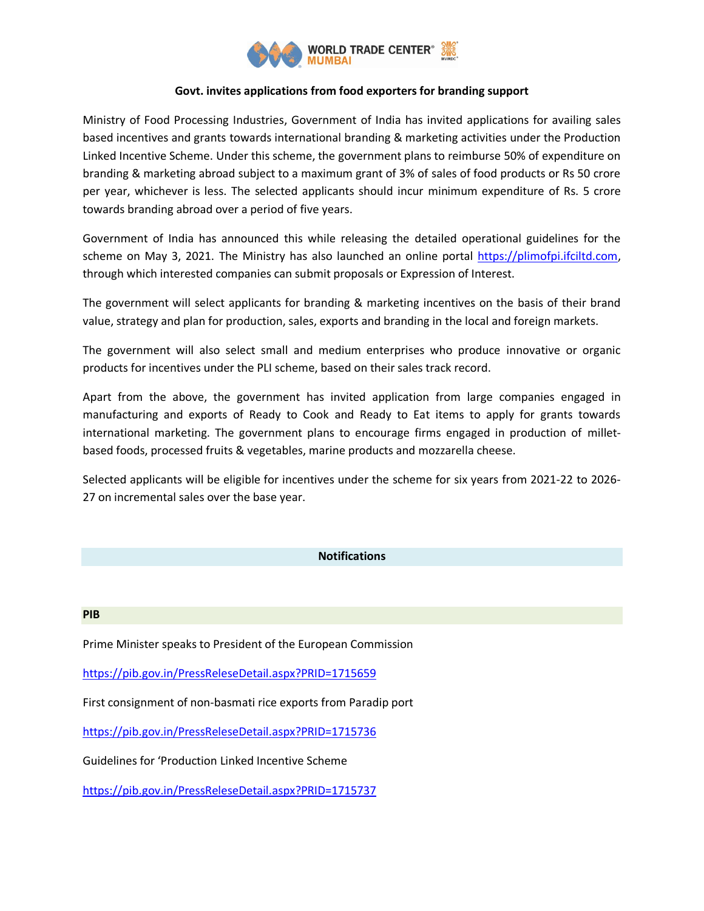

# **Govt. invites applications from food exporters for branding support**

Ministry of Food Processing Industries, Government of India has invited applications for availing sales based incentives and grants towards international branding & marketing activities under the Production Linked Incentive Scheme. Under this scheme, the government plans to reimburse 50% of expenditure on branding & marketing abroad subject to a maximum grant of 3% of sales of food products or Rs 50 crore per year, whichever is less. The selected applicants should incur minimum expenditure of Rs. 5 crore towards branding abroad over a period of five years.

Government of India has announced this while releasing the detailed operational guidelines for the scheme on May 3, 2021. The Ministry has also launched an online portal [https://plimofpi.ifciltd.com,](https://plimofpi.ifciltd.com/) through which interested companies can submit proposals or Expression of Interest.

The government will select applicants for branding & marketing incentives on the basis of their brand value, strategy and plan for production, sales, exports and branding in the local and foreign markets.

The government will also select small and medium enterprises who produce innovative or organic products for incentives under the PLI scheme, based on their sales track record.

Apart from the above, the government has invited application from large companies engaged in manufacturing and exports of Ready to Cook and Ready to Eat items to apply for grants towards international marketing. The government plans to encourage firms engaged in production of milletbased foods, processed fruits & vegetables, marine products and mozzarella cheese.

Selected applicants will be eligible for incentives under the scheme for six years from 2021-22 to 2026- 27 on incremental sales over the base year.

## **Notifications**

#### **PIB**

Prime Minister speaks to President of the European Commission

<https://pib.gov.in/PressReleseDetail.aspx?PRID=1715659>

First consignment of non-basmati rice exports from Paradip port

[https://pib.gov.in/PressReleseDetail.aspx?PRID=1715736](https://pib.gov.in/PressReleseDetail.aspx?PRID=1715736/)

Guidelines for 'Production Linked Incentive Scheme

<https://pib.gov.in/PressReleseDetail.aspx?PRID=1715737>